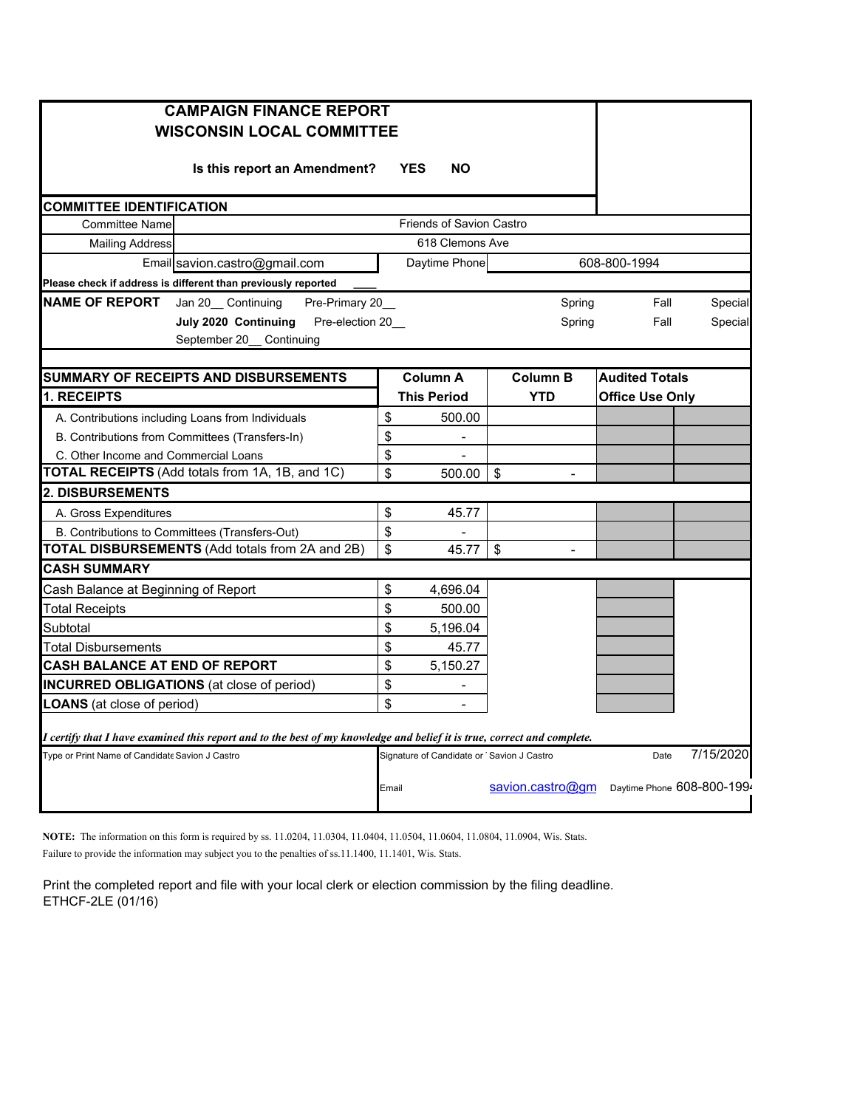|                                                                                                                         | <b>CAMPAIGN FINANCE REPORT</b><br><b>WISCONSIN LOCAL COMMITTEE</b> |       |                                           |                                        |  |                            |           |  |  |
|-------------------------------------------------------------------------------------------------------------------------|--------------------------------------------------------------------|-------|-------------------------------------------|----------------------------------------|--|----------------------------|-----------|--|--|
|                                                                                                                         | Is this report an Amendment?                                       |       | <b>YES</b><br><b>NO</b>                   |                                        |  |                            |           |  |  |
| <b>COMMITTEE IDENTIFICATION</b>                                                                                         |                                                                    |       |                                           |                                        |  |                            |           |  |  |
| <b>Committee Name</b>                                                                                                   |                                                                    |       | <b>Friends of Savion Castro</b>           |                                        |  |                            |           |  |  |
| 618 Clemons Ave<br><b>Mailing Address</b>                                                                               |                                                                    |       |                                           |                                        |  |                            |           |  |  |
|                                                                                                                         | Email savion.castro@gmail.com                                      |       | Daytime Phone                             |                                        |  | 608-800-1994               |           |  |  |
|                                                                                                                         | Please check if address is different than previously reported      |       |                                           |                                        |  |                            |           |  |  |
| NAME OF REPORT                                                                                                          | Jan 20_ Continuing<br>Pre-Primary 20                               |       |                                           | Spring                                 |  | Fall                       |           |  |  |
|                                                                                                                         | Pre-election 20<br>July 2020 Continuing                            |       |                                           | Spring                                 |  | Fall                       |           |  |  |
|                                                                                                                         | September 20 Continuing                                            |       |                                           |                                        |  |                            |           |  |  |
|                                                                                                                         |                                                                    |       |                                           |                                        |  |                            |           |  |  |
|                                                                                                                         | SUMMARY OF RECEIPTS AND DISBURSEMENTS                              |       | <b>Column A</b>                           | <b>Column B</b>                        |  | <b>Audited Totals</b>      |           |  |  |
| <b>1. RECEIPTS</b>                                                                                                      |                                                                    |       | <b>This Period</b>                        | <b>YTD</b>                             |  | <b>Office Use Only</b>     |           |  |  |
|                                                                                                                         | A. Contributions including Loans from Individuals                  | \$    | 500.00                                    |                                        |  |                            |           |  |  |
|                                                                                                                         | B. Contributions from Committees (Transfers-In)                    | \$    |                                           |                                        |  |                            |           |  |  |
| C. Other Income and Commercial Loans                                                                                    |                                                                    |       |                                           |                                        |  |                            |           |  |  |
| TOTAL RECEIPTS (Add totals from 1A, 1B, and 1C)                                                                         |                                                                    |       | 500.00                                    | \$<br>$\overline{\phantom{0}}$         |  |                            |           |  |  |
| <b>2. DISBURSEMENTS</b>                                                                                                 |                                                                    |       |                                           |                                        |  |                            |           |  |  |
| A. Gross Expenditures                                                                                                   |                                                                    | \$    | 45.77                                     |                                        |  |                            |           |  |  |
| B. Contributions to Committees (Transfers-Out)                                                                          |                                                                    |       |                                           |                                        |  |                            |           |  |  |
| TOTAL DISBURSEMENTS (Add totals from 2A and 2B)                                                                         |                                                                    |       | 45.77                                     | $\sqrt{2}$<br>$\overline{\phantom{a}}$ |  |                            |           |  |  |
| <b>CASH SUMMARY</b>                                                                                                     |                                                                    |       |                                           |                                        |  |                            |           |  |  |
| Cash Balance at Beginning of Report                                                                                     |                                                                    | \$    | 4,696.04                                  |                                        |  |                            |           |  |  |
| <b>Total Receipts</b>                                                                                                   |                                                                    | \$    | 500.00                                    |                                        |  |                            |           |  |  |
| Subtotal                                                                                                                |                                                                    | \$    | 5,196.04                                  |                                        |  |                            |           |  |  |
| Total Disbursements                                                                                                     |                                                                    | \$    | 45.77                                     |                                        |  |                            |           |  |  |
| <b>CASH BALANCE AT END OF REPORT</b>                                                                                    |                                                                    |       | 5,150.27                                  |                                        |  |                            |           |  |  |
| <b>INCURRED OBLIGATIONS</b> (at close of period)                                                                        |                                                                    |       |                                           |                                        |  |                            |           |  |  |
| LOANS (at close of period)                                                                                              |                                                                    | \$    |                                           |                                        |  |                            |           |  |  |
| I certify that I have examined this report and to the best of my knowledge and belief it is true, correct and complete. |                                                                    |       |                                           |                                        |  |                            |           |  |  |
| Type or Print Name of Candidate Savion J Castro                                                                         |                                                                    |       | Signature of Candidate or Savion J Castro |                                        |  | Date                       | 7/15/2020 |  |  |
|                                                                                                                         |                                                                    | Email |                                           | savion.castro@gm                       |  | Daytime Phone 608-800-1994 |           |  |  |

**NOTE:** The information on this form is required by ss. 11.0204, 11.0304, 11.0404, 11.0504, 11.0604, 11.0804, 11.0904, Wis. Stats. Failure to provide the information may subject you to the penalties of ss.11.1400, 11.1401, Wis. Stats.

Print the completed report and file with your local clerk or election commission by the filing deadline. ETHCF-2LE (01/16)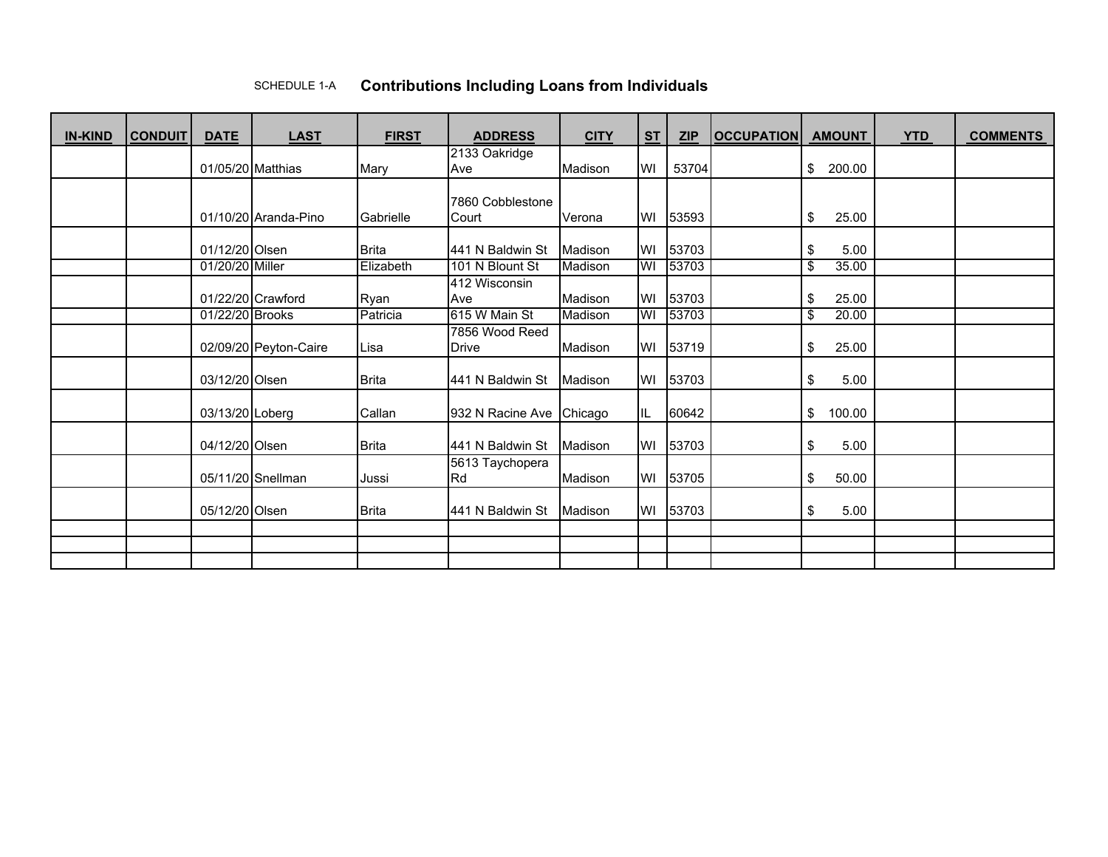## SCHEDULE 1-A**Contributions Including Loans from Individuals**

| <b>IN-KIND</b> | <b>CONDUIT</b> | <b>DATE</b>       | <b>LAST</b>           | <b>FIRST</b> | <b>ADDRESS</b>               | <b>CITY</b> | S <sub>T</sub> | ZIP      | <b>OCCUPATION</b> | <b>AMOUNT</b>     | <b>YTD</b> | <b>COMMENTS</b> |
|----------------|----------------|-------------------|-----------------------|--------------|------------------------------|-------------|----------------|----------|-------------------|-------------------|------------|-----------------|
|                |                |                   |                       |              | 2133 Oakridge                |             |                |          |                   |                   |            |                 |
|                |                | 01/05/20 Matthias |                       | Mary         | Ave                          | Madison     | WI             | 53704    |                   | 200.00<br>\$      |            |                 |
|                |                |                   |                       |              |                              |             |                |          |                   |                   |            |                 |
|                |                |                   |                       |              | 7860 Cobblestone             |             |                |          |                   |                   |            |                 |
|                |                |                   | 01/10/20 Aranda-Pino  | Gabrielle    | Court                        | Verona      | WI             | 53593    |                   | 25.00<br>\$       |            |                 |
|                |                | 01/12/20 Olsen    |                       | <b>Brita</b> | 441 N Baldwin St             | Madison     | WI             | 53703    |                   | 5.00              |            |                 |
|                |                | 01/20/20 Miller   |                       | Elizabeth    | 101 N Blount St              | Madison     | WI             | 53703    |                   | \$<br>\$<br>35.00 |            |                 |
|                |                |                   |                       |              |                              |             |                |          |                   |                   |            |                 |
|                |                |                   |                       |              | 412 Wisconsin                |             |                |          |                   |                   |            |                 |
|                |                |                   | 01/22/20 Crawford     | Ryan         | Ave                          | Madison     | WI             | 53703    |                   | \$<br>25.00       |            |                 |
|                |                | 01/22/20 Brooks   |                       | Patricia     | 615 W Main St                | Madison     | W              | 53703    |                   | \$<br>20.00       |            |                 |
|                |                |                   |                       |              | 7856 Wood Reed               |             |                |          |                   |                   |            |                 |
|                |                |                   | 02/09/20 Peyton-Caire | Lisa         | Drive                        | Madison     | WI             | 53719    |                   | \$<br>25.00       |            |                 |
|                |                | 03/12/20 Olsen    |                       | <b>Brita</b> | 441 N Baldwin St             | Madison     | WI             | 53703    |                   | \$<br>5.00        |            |                 |
|                |                | 03/13/20 Loberg   |                       | Callan       | 932 N Racine Ave Chicago     |             | IL.            | 60642    |                   | \$<br>100.00      |            |                 |
|                |                | 04/12/20 Olsen    |                       | Brita        | 441 N Baldwin St             | Madison     | WI             | 53703    |                   | \$<br>5.00        |            |                 |
|                |                |                   | 05/11/20 Snellman     | Jussi        | 5613 Taychopera<br><b>Rd</b> | Madison     | WI             | 53705    |                   | \$<br>50.00       |            |                 |
|                |                | 05/12/20 Olsen    |                       | <b>Brita</b> | 441 N Baldwin St             | Madison     |                | WI 53703 |                   | \$<br>5.00        |            |                 |
|                |                |                   |                       |              |                              |             |                |          |                   |                   |            |                 |
|                |                |                   |                       |              |                              |             |                |          |                   |                   |            |                 |
|                |                |                   |                       |              |                              |             |                |          |                   |                   |            |                 |